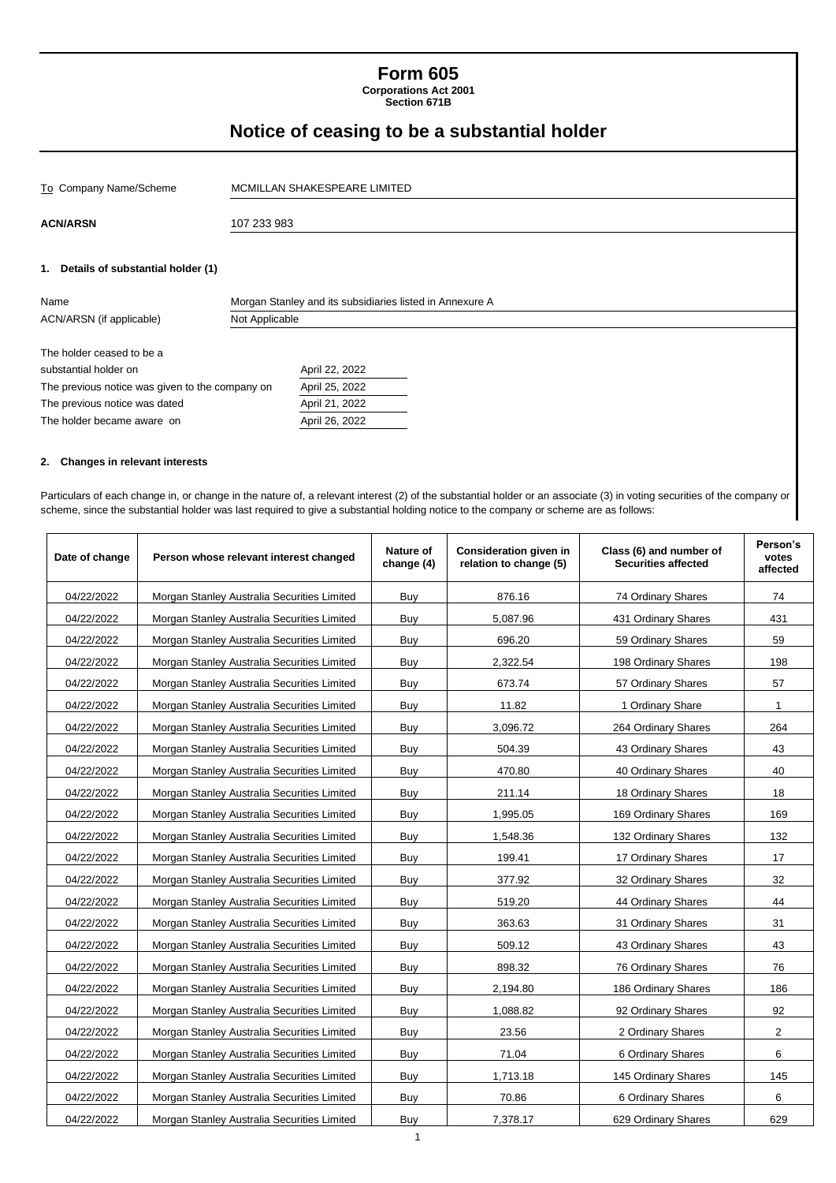# **Form 605 Corporations Act 2001**

**Section 671B**

# **Notice of ceasing to be a substantial holder**

| To Company Name/Scheme                          |                | MCMILLAN SHAKESPEARE LIMITED                             |  |  |  |  |
|-------------------------------------------------|----------------|----------------------------------------------------------|--|--|--|--|
| <b>ACN/ARSN</b>                                 | 107 233 983    |                                                          |  |  |  |  |
| 1. Details of substantial holder (1)            |                |                                                          |  |  |  |  |
| Name                                            |                | Morgan Stanley and its subsidiaries listed in Annexure A |  |  |  |  |
| ACN/ARSN (if applicable)                        | Not Applicable |                                                          |  |  |  |  |
| The holder ceased to be a                       |                |                                                          |  |  |  |  |
| substantial holder on                           |                | April 22, 2022                                           |  |  |  |  |
| The previous notice was given to the company on |                | April 25, 2022                                           |  |  |  |  |
| The previous notice was dated                   |                | April 21, 2022                                           |  |  |  |  |
| The holder became aware on                      |                | April 26, 2022                                           |  |  |  |  |
|                                                 |                |                                                          |  |  |  |  |

### **2. Changes in relevant interests**

Particulars of each change in, or change in the nature of, a relevant interest (2) of the substantial holder or an associate (3) in voting securities of the company or scheme, since the substantial holder was last required to give a substantial holding notice to the company or scheme are as follows:

| Date of change | Person whose relevant interest changed      | Nature of<br>change (4) | Consideration given in<br>relation to change (5) | Class (6) and number of<br><b>Securities affected</b> | Person's<br>votes<br>affected |
|----------------|---------------------------------------------|-------------------------|--------------------------------------------------|-------------------------------------------------------|-------------------------------|
| 04/22/2022     | Morgan Stanley Australia Securities Limited | Buy                     | 876.16                                           | 74 Ordinary Shares                                    | 74                            |
| 04/22/2022     | Morgan Stanley Australia Securities Limited | Buy                     | 5,087.96                                         | 431 Ordinary Shares                                   | 431                           |
| 04/22/2022     | Morgan Stanley Australia Securities Limited | Buy                     | 696.20                                           | 59 Ordinary Shares                                    | 59                            |
| 04/22/2022     | Morgan Stanley Australia Securities Limited | Buy                     | 2,322.54                                         | 198 Ordinary Shares                                   | 198                           |
| 04/22/2022     | Morgan Stanley Australia Securities Limited | Buy                     | 673.74                                           | 57 Ordinary Shares                                    | 57                            |
| 04/22/2022     | Morgan Stanley Australia Securities Limited | Buy                     | 11.82                                            | 1 Ordinary Share                                      | $\mathbf{1}$                  |
| 04/22/2022     | Morgan Stanley Australia Securities Limited | Buy                     | 3,096.72                                         | 264 Ordinary Shares                                   | 264                           |
| 04/22/2022     | Morgan Stanley Australia Securities Limited | Buy                     | 504.39                                           | 43 Ordinary Shares                                    | 43                            |
| 04/22/2022     | Morgan Stanley Australia Securities Limited | Buy                     | 470.80                                           | 40 Ordinary Shares                                    | 40                            |
| 04/22/2022     | Morgan Stanley Australia Securities Limited | Buy                     | 211.14                                           | 18 Ordinary Shares                                    | 18                            |
| 04/22/2022     | Morgan Stanley Australia Securities Limited | Buy                     | 1,995.05                                         | 169 Ordinary Shares                                   | 169                           |
| 04/22/2022     | Morgan Stanley Australia Securities Limited | Buy                     | 1,548.36                                         | 132 Ordinary Shares                                   | 132                           |
| 04/22/2022     | Morgan Stanley Australia Securities Limited | Buy                     | 199.41                                           | 17 Ordinary Shares                                    | 17                            |
| 04/22/2022     | Morgan Stanley Australia Securities Limited | Buy                     | 377.92                                           | 32 Ordinary Shares                                    | 32                            |
| 04/22/2022     | Morgan Stanley Australia Securities Limited | Buy                     | 519.20                                           | 44 Ordinary Shares                                    | 44                            |
| 04/22/2022     | Morgan Stanley Australia Securities Limited | Buy                     | 363.63                                           | 31 Ordinary Shares                                    | 31                            |
| 04/22/2022     | Morgan Stanley Australia Securities Limited | Buy                     | 509.12                                           | 43 Ordinary Shares                                    | 43                            |
| 04/22/2022     | Morgan Stanley Australia Securities Limited | Buy                     | 898.32                                           | 76 Ordinary Shares                                    | 76                            |
| 04/22/2022     | Morgan Stanley Australia Securities Limited | Buy                     | 2,194.80                                         | 186 Ordinary Shares                                   | 186                           |
| 04/22/2022     | Morgan Stanley Australia Securities Limited | Buv                     | 1,088.82                                         | 92 Ordinary Shares                                    | 92                            |
| 04/22/2022     | Morgan Stanley Australia Securities Limited | Buy                     | 23.56                                            | 2 Ordinary Shares                                     | 2                             |
| 04/22/2022     | Morgan Stanley Australia Securities Limited | Buy                     | 71.04                                            | 6 Ordinary Shares                                     | 6                             |
| 04/22/2022     | Morgan Stanley Australia Securities Limited | Buy                     | 1,713.18                                         | 145 Ordinary Shares                                   | 145                           |
| 04/22/2022     | Morgan Stanley Australia Securities Limited | Buy                     | 70.86                                            | 6 Ordinary Shares                                     | 6                             |
| 04/22/2022     | Morgan Stanley Australia Securities Limited | Buy                     | 7,378.17                                         | 629 Ordinary Shares                                   | 629                           |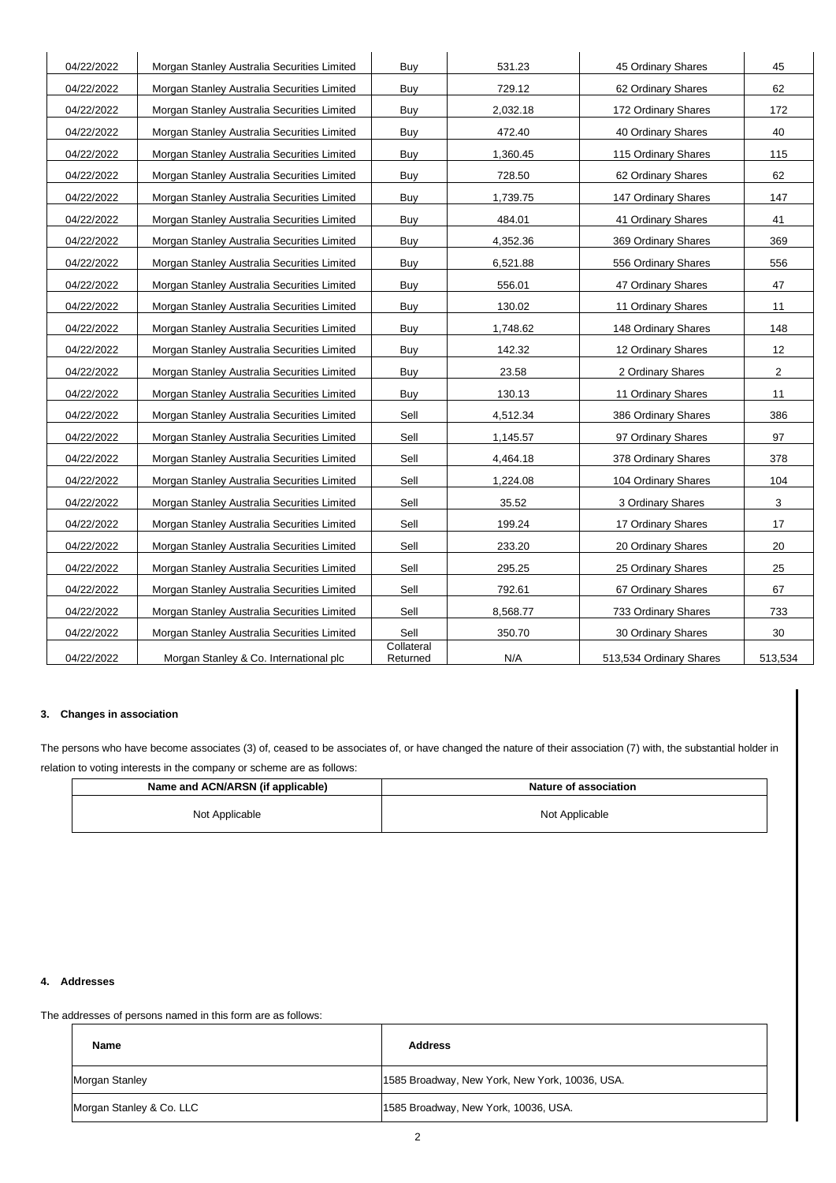| 04/22/2022 | Morgan Stanley Australia Securities Limited | Buy                    | 531.23   | 45 Ordinary Shares      | 45             |
|------------|---------------------------------------------|------------------------|----------|-------------------------|----------------|
| 04/22/2022 | Morgan Stanley Australia Securities Limited | Buy                    | 729.12   | 62 Ordinary Shares      | 62             |
| 04/22/2022 | Morgan Stanley Australia Securities Limited | Buy                    | 2,032.18 | 172 Ordinary Shares     | 172            |
| 04/22/2022 | Morgan Stanley Australia Securities Limited | Buy                    | 472.40   | 40 Ordinary Shares      | 40             |
| 04/22/2022 | Morgan Stanley Australia Securities Limited | Buy                    | 1,360.45 | 115 Ordinary Shares     | 115            |
| 04/22/2022 | Morgan Stanley Australia Securities Limited | Buy                    | 728.50   | 62 Ordinary Shares      | 62             |
| 04/22/2022 | Morgan Stanley Australia Securities Limited | Buy                    | 1,739.75 | 147 Ordinary Shares     | 147            |
| 04/22/2022 | Morgan Stanley Australia Securities Limited | Buy                    | 484.01   | 41 Ordinary Shares      | 41             |
| 04/22/2022 | Morgan Stanley Australia Securities Limited | Buy                    | 4,352.36 | 369 Ordinary Shares     | 369            |
| 04/22/2022 | Morgan Stanley Australia Securities Limited | Buy                    | 6,521.88 | 556 Ordinary Shares     | 556            |
| 04/22/2022 | Morgan Stanley Australia Securities Limited | Buy                    | 556.01   | 47 Ordinary Shares      | 47             |
| 04/22/2022 | Morgan Stanley Australia Securities Limited | Buy                    | 130.02   | 11 Ordinary Shares      | 11             |
| 04/22/2022 | Morgan Stanley Australia Securities Limited | Buy                    | 1,748.62 | 148 Ordinary Shares     | 148            |
| 04/22/2022 | Morgan Stanley Australia Securities Limited | Buy                    | 142.32   | 12 Ordinary Shares      | 12             |
| 04/22/2022 | Morgan Stanley Australia Securities Limited | Buy                    | 23.58    | 2 Ordinary Shares       | $\overline{2}$ |
| 04/22/2022 | Morgan Stanley Australia Securities Limited | Buy                    | 130.13   | 11 Ordinary Shares      | 11             |
| 04/22/2022 | Morgan Stanley Australia Securities Limited | Sell                   | 4,512.34 | 386 Ordinary Shares     | 386            |
| 04/22/2022 | Morgan Stanley Australia Securities Limited | Sell                   | 1,145.57 | 97 Ordinary Shares      | 97             |
| 04/22/2022 | Morgan Stanley Australia Securities Limited | Sell                   | 4,464.18 | 378 Ordinary Shares     | 378            |
| 04/22/2022 | Morgan Stanley Australia Securities Limited | Sell                   | 1,224.08 | 104 Ordinary Shares     | 104            |
| 04/22/2022 | Morgan Stanley Australia Securities Limited | Sell                   | 35.52    | 3 Ordinary Shares       | 3              |
| 04/22/2022 | Morgan Stanley Australia Securities Limited | Sell                   | 199.24   | 17 Ordinary Shares      | 17             |
| 04/22/2022 | Morgan Stanley Australia Securities Limited | Sell                   | 233.20   | 20 Ordinary Shares      | 20             |
| 04/22/2022 | Morgan Stanley Australia Securities Limited | Sell                   | 295.25   | 25 Ordinary Shares      | 25             |
| 04/22/2022 | Morgan Stanley Australia Securities Limited | Sell                   | 792.61   | 67 Ordinary Shares      | 67             |
| 04/22/2022 | Morgan Stanley Australia Securities Limited | Sell                   | 8,568.77 | 733 Ordinary Shares     | 733            |
| 04/22/2022 | Morgan Stanley Australia Securities Limited | Sell                   | 350.70   | 30 Ordinary Shares      | 30             |
| 04/22/2022 | Morgan Stanley & Co. International plc      | Collateral<br>Returned | N/A      | 513,534 Ordinary Shares | 513,534        |
|            |                                             |                        |          |                         |                |

### **3. Changes in association**

The persons who have become associates (3) of, ceased to be associates of, or have changed the nature of their association (7) with, the substantial holder in relation to voting interests in the company or scheme are as follows:

| Name and ACN/ARSN (if applicable) | <b>Nature of association</b> |
|-----------------------------------|------------------------------|
| Not Applicable                    | Not Applicable               |

### **4. Addresses**

The addresses of persons named in this form are as follows:

| Name                     | <b>Address</b>                                 |
|--------------------------|------------------------------------------------|
| Morgan Stanley           | 1585 Broadway, New York, New York, 10036, USA. |
| Morgan Stanley & Co. LLC | 1585 Broadway, New York, 10036, USA.           |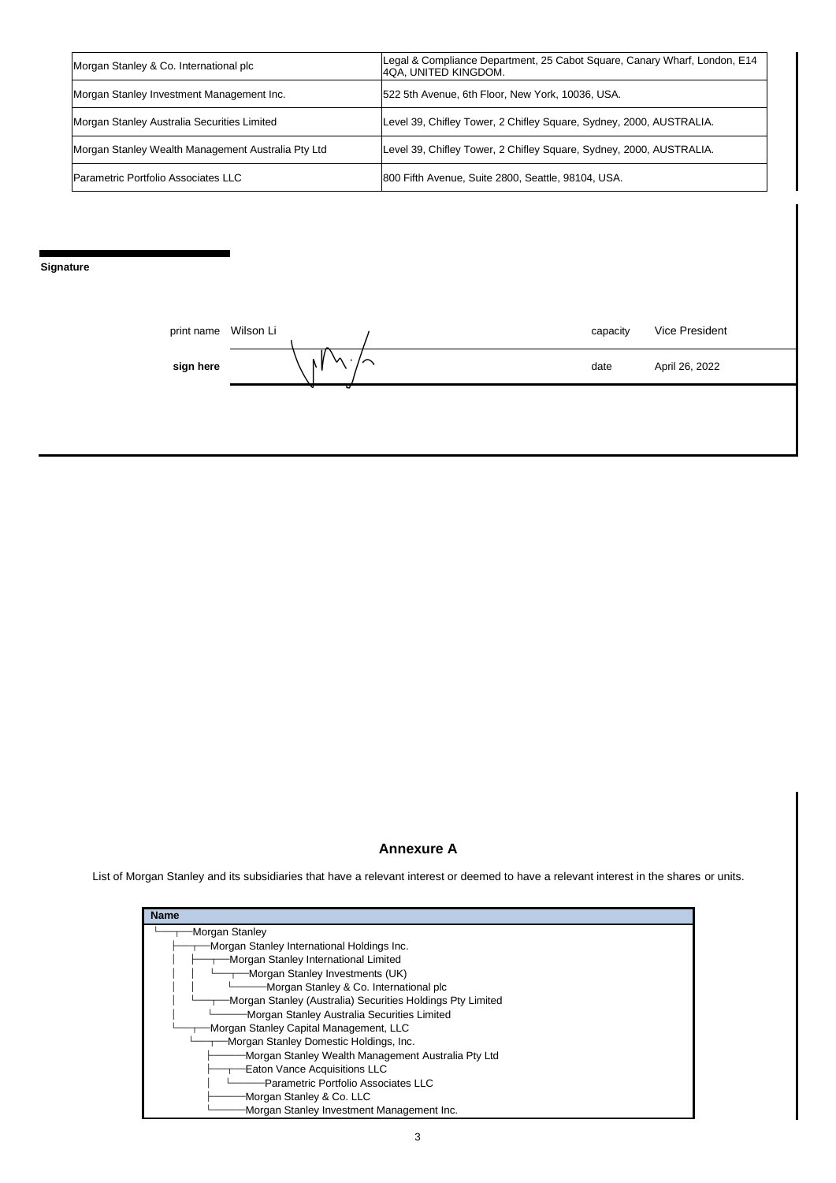| Morgan Stanley & Co. International plc             | Legal & Compliance Department, 25 Cabot Square, Canary Wharf, London, E14<br>4QA, UNITED KINGDOM. |
|----------------------------------------------------|---------------------------------------------------------------------------------------------------|
| Morgan Stanley Investment Management Inc.          | 522 5th Avenue, 6th Floor, New York, 10036, USA.                                                  |
| Morgan Stanley Australia Securities Limited        | Level 39, Chifley Tower, 2 Chifley Square, Sydney, 2000, AUSTRALIA.                               |
| Morgan Stanley Wealth Management Australia Pty Ltd | Level 39, Chifley Tower, 2 Chifley Square, Sydney, 2000, AUSTRALIA.                               |
| Parametric Portfolio Associates LLC                | 800 Fifth Avenue, Suite 2800, Seattle, 98104, USA.                                                |

**Signature**

| print name | Wilson Li |   | capacity | Vice President |
|------------|-----------|---|----------|----------------|
| sign here  |           | v | date     | April 26, 2022 |
|            |           |   |          |                |

# **Annexure A**

List of Morgan Stanley and its subsidiaries that have a relevant interest or deemed to have a relevant interest in the shares or units.

| <b>Name</b>                                                |
|------------------------------------------------------------|
| Morgan Stanley                                             |
| Morgan Stanley International Holdings Inc.                 |
| Morgan Stanley International Limited                       |
| -Morgan Stanley Investments (UK)                           |
| Morgan Stanley & Co. International plc                     |
| Morgan Stanley (Australia) Securities Holdings Pty Limited |
| Morgan Stanley Australia Securities Limited                |
| Morgan Stanley Capital Management, LLC                     |
| Morgan Stanley Domestic Holdings, Inc.                     |
| Morgan Stanley Wealth Management Australia Pty Ltd         |
| Eaton Vance Acquisitions LLC                               |
| Parametric Portfolio Associates LLC                        |
| Morgan Stanley & Co. LLC                                   |
| Morgan Stanley Investment Management Inc.                  |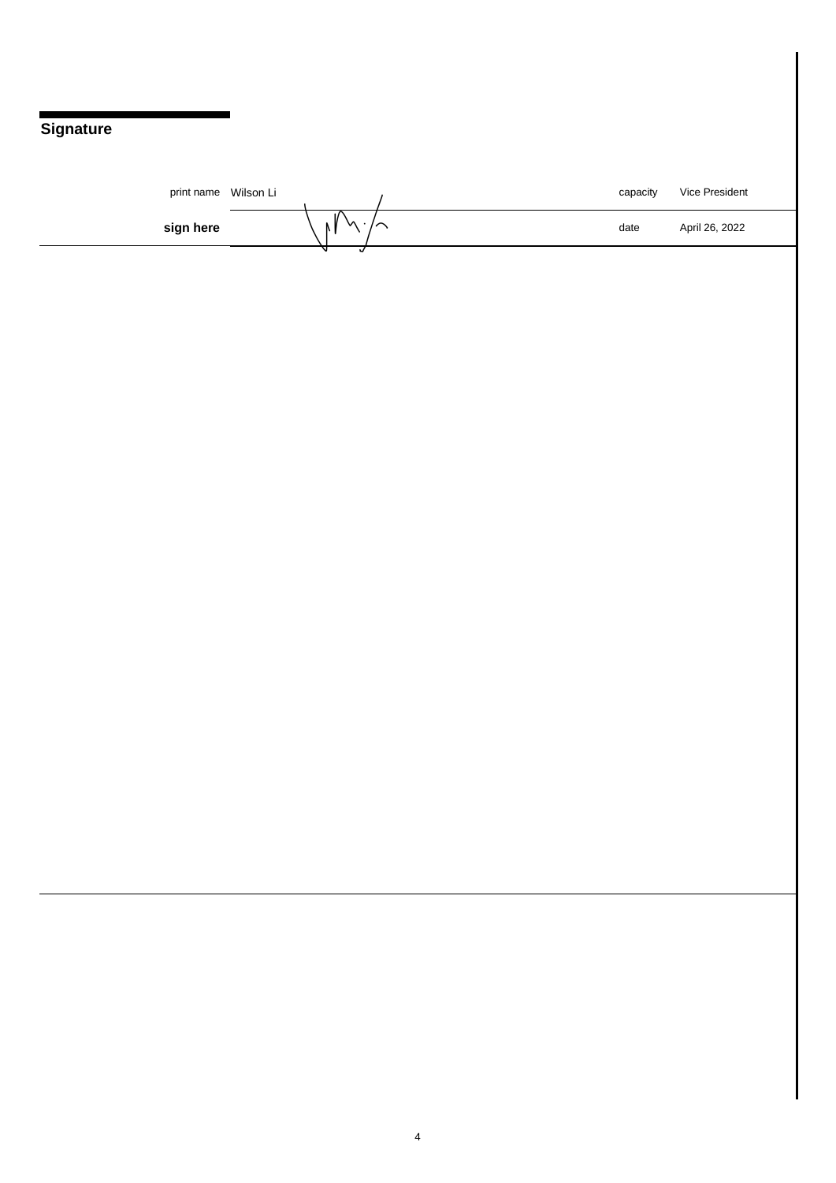# **Signature**

| print name Wilson Li |                                | capacity | Vice President |
|----------------------|--------------------------------|----------|----------------|
| sign here            | ۱v<br>$\bar{\phantom{a}}$<br>в | date     | April 26, 2022 |
|                      |                                |          |                |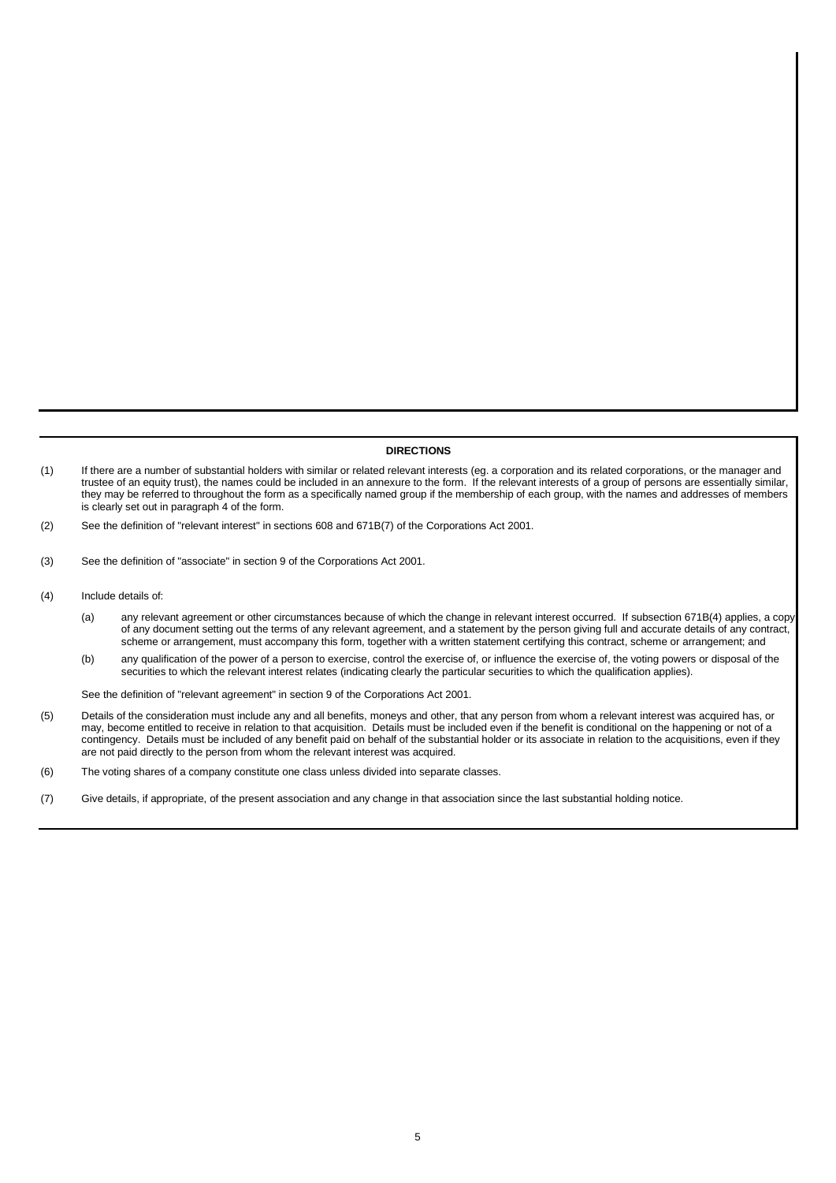#### **DIRECTIONS**

- (1) If there are a number of substantial holders with similar or related relevant interests (eg. a corporation and its related corporations, or the manager and trustee of an equity trust), the names could be included in an annexure to the form. If the relevant interests of a group of persons are essentially similar, they may be referred to throughout the form as a specifically named group if the membership of each group, with the names and addresses of members is clearly set out in paragraph 4 of the form.
- (2) See the definition of "relevant interest" in sections 608 and 671B(7) of the Corporations Act 2001.
- (3) See the definition of "associate" in section 9 of the Corporations Act 2001.
- (4) Include details of:
	- (a) any relevant agreement or other circumstances because of which the change in relevant interest occurred. If subsection 671B(4) applies, a copy of any document setting out the terms of any relevant agreement, and a statement by the person giving full and accurate details of any contract, scheme or arrangement, must accompany this form, together with a written statement certifying this contract, scheme or arrangement; and
	- (b) any qualification of the power of a person to exercise, control the exercise of, or influence the exercise of, the voting powers or disposal of the securities to which the relevant interest relates (indicating clearly the particular securities to which the qualification applies).

See the definition of "relevant agreement" in section 9 of the Corporations Act 2001.

- (5) Details of the consideration must include any and all benefits, moneys and other, that any person from whom a relevant interest was acquired has, or may, become entitled to receive in relation to that acquisition. Details must be included even if the benefit is conditional on the happening or not of a contingency. Details must be included of any benefit paid on behalf of the substantial holder or its associate in relation to the acquisitions, even if they are not paid directly to the person from whom the relevant interest was acquired.
- (6) The voting shares of a company constitute one class unless divided into separate classes.
- (7) Give details, if appropriate, of the present association and any change in that association since the last substantial holding notice.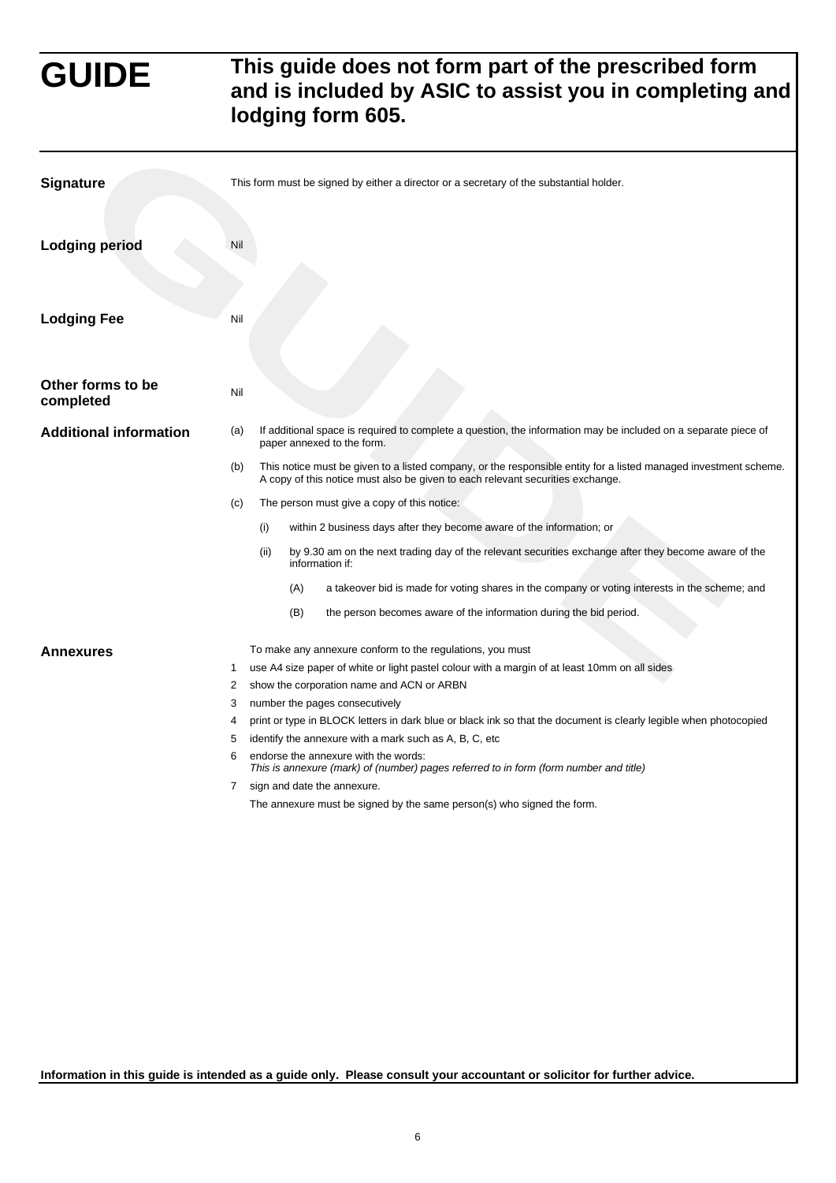# **GUIDE This guide does not form part of the prescribed form and is included by ASIC to assist you in completing and lodging form 605.**

| <b>Signature</b>               |     |      | This form must be signed by either a director or a secretary of the substantial holder. |                                                                                                                                                                                                    |  |
|--------------------------------|-----|------|-----------------------------------------------------------------------------------------|----------------------------------------------------------------------------------------------------------------------------------------------------------------------------------------------------|--|
| <b>Lodging period</b>          | Nil |      |                                                                                         |                                                                                                                                                                                                    |  |
| <b>Lodging Fee</b>             | Nil |      |                                                                                         |                                                                                                                                                                                                    |  |
| Other forms to be<br>completed | Nil |      |                                                                                         |                                                                                                                                                                                                    |  |
| <b>Additional information</b>  | (a) |      |                                                                                         | If additional space is required to complete a question, the information may be included on a separate piece of<br>paper annexed to the form.                                                       |  |
|                                | (b) |      |                                                                                         | This notice must be given to a listed company, or the responsible entity for a listed managed investment scheme.<br>A copy of this notice must also be given to each relevant securities exchange. |  |
|                                | (c) |      |                                                                                         | The person must give a copy of this notice:                                                                                                                                                        |  |
|                                |     | (i)  |                                                                                         | within 2 business days after they become aware of the information; or                                                                                                                              |  |
|                                |     | (ii) |                                                                                         | by 9.30 am on the next trading day of the relevant securities exchange after they become aware of the<br>information if:                                                                           |  |
|                                |     |      | (A)                                                                                     | a takeover bid is made for voting shares in the company or voting interests in the scheme; and                                                                                                     |  |
|                                |     |      | (B)                                                                                     | the person becomes aware of the information during the bid period.                                                                                                                                 |  |
| <b>Annexures</b>               |     |      |                                                                                         | To make any annexure conform to the regulations, you must                                                                                                                                          |  |
|                                | 1   |      |                                                                                         | use A4 size paper of white or light pastel colour with a margin of at least 10mm on all sides                                                                                                      |  |
|                                | 2   |      |                                                                                         | show the corporation name and ACN or ARBN                                                                                                                                                          |  |
|                                | 3   |      |                                                                                         | number the pages consecutively                                                                                                                                                                     |  |
|                                | 4   |      |                                                                                         | print or type in BLOCK letters in dark blue or black ink so that the document is clearly legible when photocopied                                                                                  |  |
|                                | 5   |      |                                                                                         | identify the annexure with a mark such as A, B, C, etc.                                                                                                                                            |  |
|                                | 6   |      |                                                                                         | endorse the annexure with the words:<br>This is annexure (mark) of (number) pages referred to in form (form number and title)                                                                      |  |
|                                | 7   |      |                                                                                         | sign and date the annexure.                                                                                                                                                                        |  |
|                                |     |      |                                                                                         | The annexure must be signed by the same person(s) who signed the form.                                                                                                                             |  |

**Information in this guide is intended as a guide only. Please consult your accountant or solicitor for further advice.**